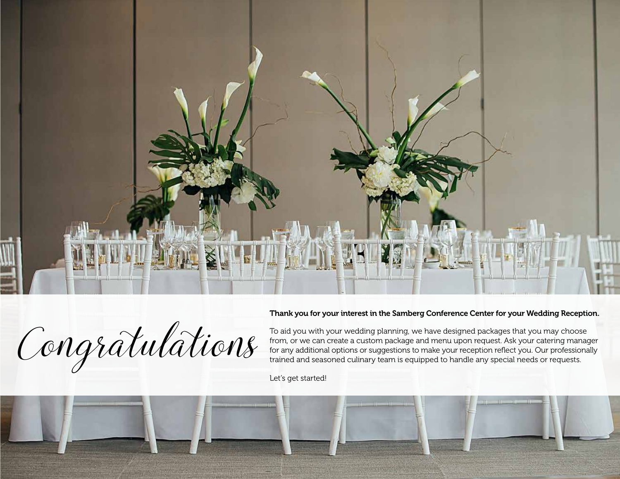

#### Thank you for your interest in the Samberg Conference Center for your Wedding Reception.

Congratulations

To aid you with your wedding planning, we have designed packages that you may choose from, or we can create a custom package and menu upon request. Ask your catering manager for any additional options or suggestions to make your reception reflect you. Our professionally trained and seasoned culinary team is equipped to handle any special needs or requests.

Let's get started!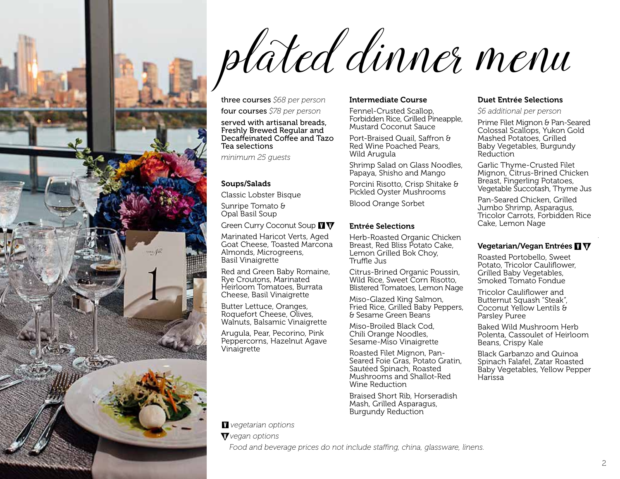

# plated dinner menu

three courses *\$68 per person*

four courses *\$78 per person*

served with artisanal breads, Freshly Brewed Regular and Decaffeinated Coffee and Tazo Tea selections

*minimum 25 guests* 

#### Soups/Salads

Classic Lobster Bisque

Sunripe Tomato & Opal Basil Soup

Green Curry Coconut Soup **II V** 

Marinated Haricot Verts, Aged Goat Cheese, Toasted Marcona Almonds, Microgreens, Basil Vinaigrette

Red and Green Baby Romaine, Rye Croutons, Marinated Heirloom Tomatoes, Burrata Cheese, Basil Vinaigrette

Butter Lettuce, Oranges, Roquefort Cheese, Olives, Walnuts, Balsamic Vinaigrette

Arugula, Pear, Pecorino, Pink Peppercorns, Hazelnut Agave Vinaigrette

#### Intermediate Course

Fennel-Crusted Scallop, Forbidden Rice, Grilled Pineapple, Mustard Coconut Sauce

Port-Braised Quail, Saffron & Red Wine Poached Pears, Wild Arugula

Shrimp Salad on Glass Noodles, Papaya, Shisho and Mango

Porcini Risotto, Crisp Shitake & Pickled Oyster Mushrooms

Blood Orange Sorbet

#### Entrée Selections

Herb-Roasted Organic Chicken Breast, Red Bliss Potato Cake. Lemon Grilled Bok Choy, Truffle Jus

Citrus-Brined Organic Poussin, Wild Rice, Sweet Corn Risotto, Blistered Tomatoes, Lemon Nage

Miso-Glazed King Salmon, Fried Rice, Grilled Baby Peppers, & Sesame Green Beans

Miso-Broiled Black Cod, Chili Orange Noodles, Sesame-Miso Vinaigrette

Roasted Filet Mignon, Pan-Seared Foie Gras, Potato Gratin, Sautéed Spinach, Roasted Mushrooms and Shallot-Red Wine Reduction

Braised Short Rib, Horseradish Mash, Grilled Asparagus, Burgundy Reduction

#### Duet Entrée Selections

*\$6 additional per person*

Prime Filet Mignon & Pan-Seared Colossal Scallops, Yukon Gold Mashed Potatoes, Grilled Baby Vegetables, Burgundy Reduction

Garlic Thyme-Crusted Filet Mignon, Citrus-Brined Chicken Breast, Fingerling Potatoes, Vegetable Succotash, Thyme Jus

Pan-Seared Chicken, Grilled Jumbo Shrimp, Asparagus, Tricolor Carrots, Forbidden Rice Cake, Lemon Nage

#### Vegetarian/Vegan Entrées VV

Roasted Portobello, Sweet Potato, Tricolor Cauliflower, Grilled Baby Vegetables, Smoked Tomato Fondue

Tricolor Cauliflower and Butternut Squash "Steak", Coconut Yellow Lentils & Parsley Puree

Baked Wild Mushroom Herb Polenta, Cassoulet of Heirloom Beans, Crispy Kale

Black Garbanzo and Quinoa Spinach Falafel, Zatar Roasted Baby Vegetables, Yellow Pepper Harissa

*vegetarian options*

*vegan options*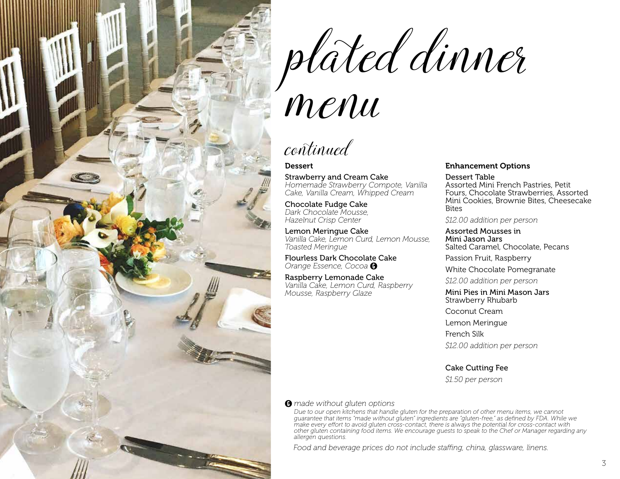

plated dinner

## menu

continued

#### Dessert

Strawberry and Cream Cake *Homemade Strawberry Compote, Vanilla Cake, Vanilla Cream, Whipped Cream*

Chocolate Fudge Cake *Dark Chocolate Mousse, Hazelnut Crisp Center*

Lemon Meringue Cake *Vanilla Cake, Lemon Curd, Lemon Mousse, Toasted Meringue*

Flourless Dark Chocolate Cake *Orange Essence, Cocoa* 

Raspberry Lemonade Cake *Vanilla Cake, Lemon Curd, Raspberry Mousse, Raspberry Glaze*

#### Enhancement Options

Dessert Table Assorted Mini French Pastries, Petit Fours, Chocolate Strawberries, Assorted Mini Cookies, Brownie Bites, Cheesecake **Bites** 

*\$12.00 addition per person*

Assorted Mousses in Mini Jason Jars Salted Caramel, Chocolate, Pecans

Passion Fruit, Raspberry

White Chocolate Pomegranate

*\$12.00 addition per person*

Mini Pies in Mini Mason Jars Strawberry Rhubarb

Coconut Cream

Lemon Meringue

French Silk

*\$12.00 addition per person*

Cake Cutting Fee

*\$1.50 per person*

#### *made without gluten options*

*Due to our open kitchens that handle gluten for the preparation of other menu items, we cannot guarantee that items "made without gluten" ingredients are "gluten-free," as defined by FDA. While we make every effort to avoid gluten cross-contact, there is always the potential for cross-contact with other gluten containing food items. We encourage guests to speak to the Chef or Manager regarding any allergen questions.*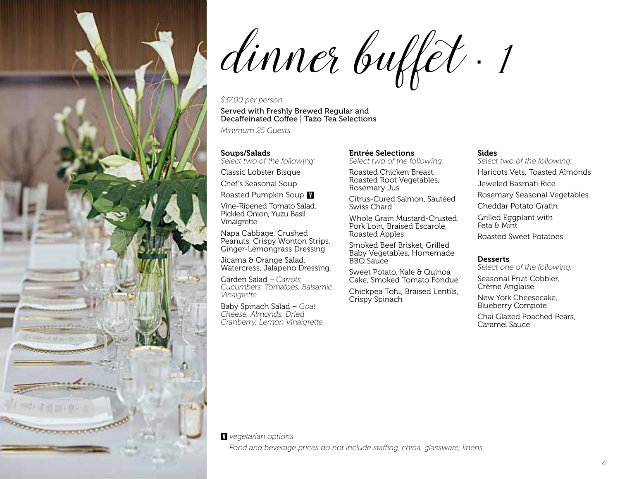

dinner buffet · 1

#### *\$37.00 per person*

#### Served with Freshly Brewed Regular and Decaffeinated Coffee | Tazo Tea Selections

*Minimum 25 Guests*

#### Soups/Salads

*Select two of the following:*

Classic Lobster Bisque

Chef's Seasonal Soup

Roasted Pumpkin Soup **V** 

Vine-Ripened Tomato Salad, Pickled Onion, Yuzu Basil Vinaigrette

Napa Cabbage, Crushed Peanuts, Crispy Wonton Strips, Ginger-Lemongrass Dressing

Jicama & Orange Salad, Watercress, Jalapeno Dressing.

Garden Salad – *Carrots, Cucumbers, Tomatoes, Balsamic Vinaigrette*

Baby Spinach Salad – *Goat Cheese, Almonds, Dried Cranberry, Lemon Vinaigrette*

#### Entrée Selections

*Select two of the following:*

Roasted Chicken Breast, Roasted Root Vegetables, Rosemary Jus

Citrus-Cured Salmon, Sautéed Swiss Chard

Whole Grain Mustard-Crusted Pork Loin, Braised Escarole, Roasted Apples

Smoked Beef Brisket, Grilled Baby Vegetables, Homemade BBQ Sauce

Sweet Potato, Kale & Quinoa Cake, Smoked Tomato Fondue

Chickpea Tofu, Braised Lentils, Crispy Spinach

#### Sides

*Select two of the following:*

Haricots Vets, Toasted Almonds

Jeweled Basmati Rice

Rosemary Seasonal Vegetables

Cheddar Potato Gratin

Grilled Eggplant with Feta & Mint

Roasted Sweet Potatoes

#### **Desserts**

*Select one of the following:*

Seasonal Fruit Cobbler, Crème Anglaise

New York Cheesecake, Blueberry Compote

Chai Glazed Poached Pears, Caramel Sauce

#### *vegetarian options*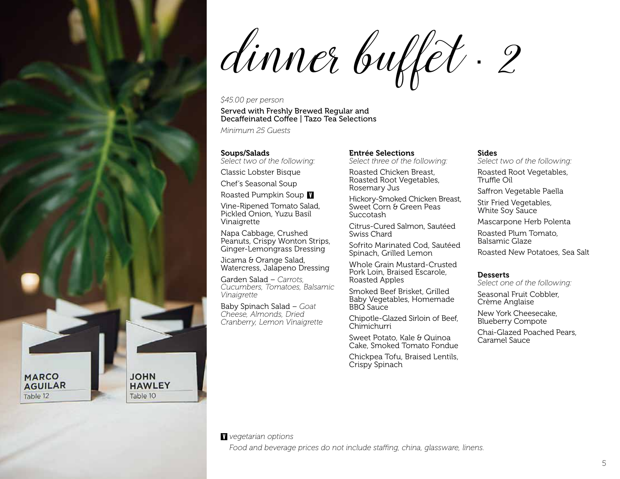dinner buffet · 2

#### *\$45.00 per person*

#### Served with Freshly Brewed Regular and Decaffeinated Coffee | Tazo Tea Selections

*Minimum 25 Guests*

#### Soups/Salads

*Select two of the following:*

Classic Lobster Bisque

Chef's Seasonal Soup

Roasted Pumpkin Soup **V** 

Vine-Ripened Tomato Salad, Pickled Onion, Yuzu Basil Vinaigrette

Napa Cabbage, Crushed Peanuts, Crispy Wonton Strips, Ginger-Lemongrass Dressing

Jicama & Orange Salad, Watercress, Jalapeno Dressing

Garden Salad – *Carrots, Cucumbers, Tomatoes, Balsamic Vinaigrette*

Baby Spinach Salad – *Goat Cheese, Almonds, Dried Cranberry, Lemon Vinaigrette*

#### Entrée Selections

*Select three of the following:*

Roasted Chicken Breast, Roasted Root Vegetables, Rosemary Jus

Hickory-Smoked Chicken Breast, Sweet Corn & Green Peas Succotash

Citrus-Cured Salmon, Sautéed Swiss Chard

Sofrito Marinated Cod, Sautéed Spinach, Grilled Lemon

Whole Grain Mustard-Crusted Pork Loin, Braised Escarole, Roasted Apples

Smoked Beef Brisket, Grilled Baby Vegetables, Homemade BBQ Sauce

Chipotle-Glazed Sirloin of Beef, Chimichurri

Sweet Potato, Kale & Quinoa Cake, Smoked Tomato Fondue

Chickpea Tofu, Braised Lentils, Crispy Spinach

#### Sides

*Select two of the following:*

Roasted Root Vegetables, Truffle Oil

Saffron Vegetable Paella

Stir Fried Vegetables, White Soy Sauce

Mascarpone Herb Polenta

Roasted Plum Tomato, Balsamic Glaze

Roasted New Potatoes, Sea Salt

#### **Desserts**

*Select one of the following:*

Seasonal Fruit Cobbler, Crème Anglaise

New York Cheesecake, Blueberry Compote

Chai-Glazed Poached Pears, Caramel Sauce

**MARCO AGUILAR** Table 12

**JOHN** 

Table 10

**HAWLEY** 

*vegetarian options*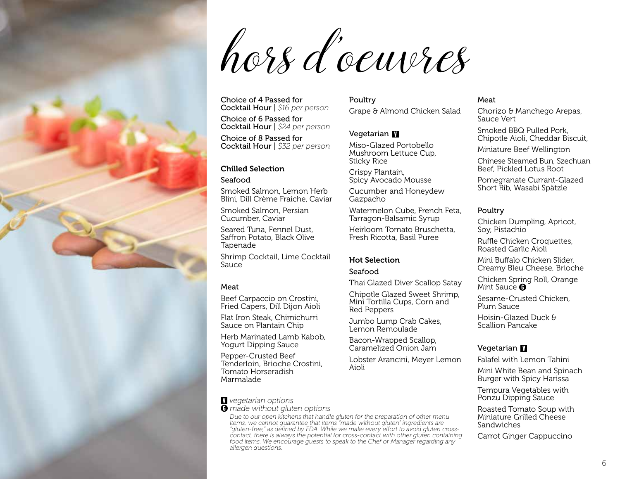hors d 'oeuvres

Choice of 4 Passed for Cocktail Hour | *\$16 per person*

Choice of 6 Passed for Cocktail Hour | *\$24 per person*

Choice of 8 Passed for Cocktail Hour | *\$32 per person*

#### Chilled Selection

Seafood

Smoked Salmon, Lemon Herb Blini, Dill Crème Fraiche, Caviar

Smoked Salmon, Persian Cucumber, Caviar

Seared Tuna, Fennel Dust, Saffron Potato, Black Olive Tapenade

Shrimp Cocktail, Lime Cocktail Sauce

#### Meat

Beef Carpaccio on Crostini, Fried Capers, Dill Dijon Aioli

Flat Iron Steak, Chimichurri Sauce on Plantain Chip

Herb Marinated Lamb Kabob, Yogurt Dipping Sauce

Pepper-Crusted Beef Tenderloin, Brioche Crostini, Tomato Horseradish Marmalade

#### *vegetarian options*

*made without gluten options* 

*Due to our open kitchens that handle gluten for the preparation of other menu items, we cannot guarantee that items "made without gluten" ingredients are "gluten-free," as defined by FDA. While we make every effort to avoid gluten crosscontact, there is always the potential for cross-contact with other gluten containing food items. We encourage guests to speak to the Chef or Manager regarding any allergen questions.*

Poultry

Grape & Almond Chicken Salad

#### Vegetarian

Miso-Glazed Portobello Mushroom Lettuce Cup, Sticky Rice

Crispy Plantain, Spicy Avocado Mousse

Cucumber and Honeydew Gazpacho

Watermelon Cube, French Feta, Tarragon-Balsamic Syrup

Heirloom Tomato Bruschetta, Fresh Ricotta, Basil Puree

#### Hot Selection

#### Seafood

Thai Glazed Diver Scallop Satay

Chipotle Glazed Sweet Shrimp, Mini Tortilla Cups, Corn and Red Peppers

Jumbo Lump Crab Cakes, Lemon Remoulade

Bacon-Wrapped Scallop, Caramelized Onion Jam

Lobster Arancini, Meyer Lemon Aioli

#### Meat

Chorizo & Manchego Arepas, Sauce Vert

Smoked BBQ Pulled Pork, Chipotle Aioli, Cheddar Biscuit,

Miniature Beef Wellington

Chinese Steamed Bun, Szechuan Beef, Pickled Lotus Root

Pomegranate Currant-Glazed Short Rib, Wasabi Spätzle

#### Poultry

Chicken Dumpling, Apricot, Soy, Pistachio

Ruffle Chicken Croquettes, Roasted Garlic Aioli

Mini Buffalo Chicken Slider, Creamy Bleu Cheese, Brioche

Chicken Spring Roll, Orange Mint Sauce  $\mathbf{\Theta}$ 

Sesame-Crusted Chicken, Plum Sauce

Hoisin-Glazed Duck & Scallion Pancake

#### Vegetarian **V**

Falafel with Lemon Tahini

Mini White Bean and Spinach Burger with Spicy Harissa

Tempura Vegetables with Ponzu Dipping Sauce

Roasted Tomato Soup with Miniature Grilled Cheese Sandwiches

Carrot Ginger Cappuccino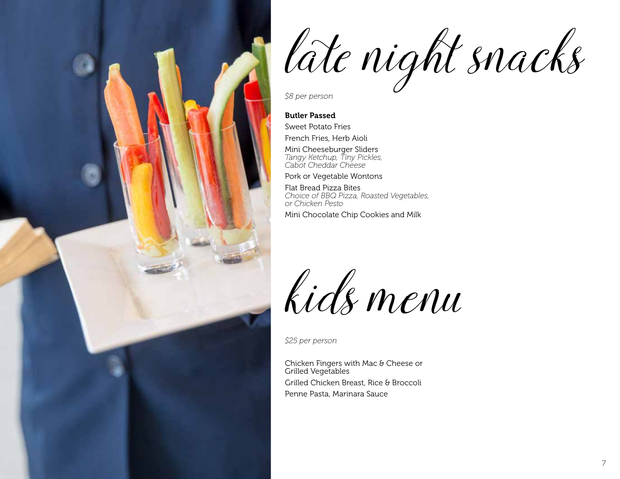

late night snacks

*\$8 per person*

#### Butler Passed

Sweet Potato Fries French Fries, Herb Aioli

Mini Cheeseburger Sliders *Tangy Ketchup, Tiny Pickles, Cabot Cheddar Cheese*

Pork or Vegetable Wontons

Flat Bread Pizza Bites *Choice of BBQ Pizza, Roasted Vegetables, or Chicken Pesto*

Mini Chocolate Chip Cookies and Milk

kids menu

*\$25 per person*

Chicken Fingers with Mac & Cheese or Grilled Vegetables Grilled Chicken Breast, Rice & Broccoli Penne Pasta, Marinara Sauce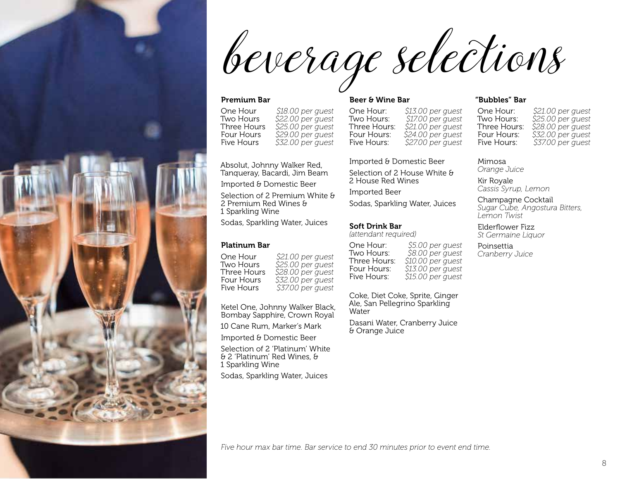beverage selections

#### Premium Bar

One Hour *\$18.00 per guest*  Two Hours *\$22.00 per guest*  Three Hours *\$25.00 per guest*  Four Hours *\$29.00 per guest*  Five Hours *\$32.00 per guest*

Absolut, Johnny Walker Red, Tanqueray, Bacardi, Jim Beam Imported & Domestic Beer

Selection of 2 Premium White & 2 Premium Red Wines & 1 Sparkling Wine

Sodas, Sparkling Water, Juices

#### Platinum Bar

One Hour *\$21.00 per guest*  Two Hours *\$25.00 per guest*  Three Hours *\$28.00 per guest*  Four Hours *\$32.00 per guest*  Five Hours *\$37.00 per guest*

Ketel One, Johnny Walker Black, Bombay Sapphire, Crown Royal

10 Cane Rum, Marker's Mark

Imported & Domestic Beer

Selection of 2 'Platinum' White & 2 'Platinum' Red Wines, & 1 Sparkling Wine

Sodas, Sparkling Water, Juices

#### Beer & Wine Bar

One Hour: *\$13.00 per guest*  \$17.00 per *quest* Three Hours: *\$21.00 per guest*  Four Hours: *\$24.00 per guest*  Five Hours: *\$27.00 per guest*

Imported & Domestic Beer

Selection of 2 House White & 2 House Red Wines Imported Beer

Sodas, Sparkling Water, Juices

#### Soft Drink Bar

*(attendant required)*

One Hour: *\$5.00 per guest*  \$8.00 per quest Three Hours: *\$10.00 per guest*  Four Hours: *\$13.00 per guest*  Five Hours: *\$15.00 per guest*

Coke, Diet Coke, Sprite, Ginger Ale, San Pellegrino Sparkling Water

Dasani Water, Cranberry Juice & Orange Juice

#### "Bubbles" Bar

One Hour: *\$21.00 per guest*  Two Hours: *\$25.00 per guest*  Three Hours: *\$28.00 per guest*  Four Hours: *\$32.00 per guest*  Five Hours: *\$37.00 per guest*

Mimosa *Orange Juice*

Kir Royale *Cassis Syrup, Lemon* 

Champagne Cocktail *Sugar Cube, Angostura Bitters, Lemon Twist* 

Elderflower Fizz *St Germaine Liquor*

Poinsettia *Cranberry Juice*

*Five hour max bar time. Bar service to end 30 minutes prior to event end time.*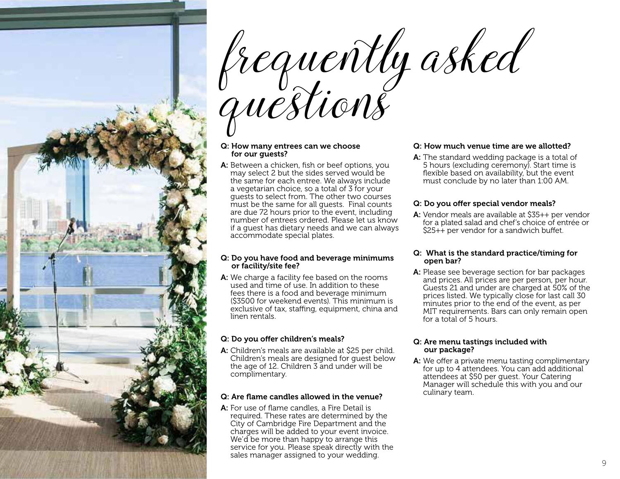

#### Q: How many entrees can we choose for our guests?

A: Between a chicken, fish or beef options, you may select 2 but the sides served would be the same for each entree. We always include a vegetarian choice, so a total of 3 for your guests to select from. The other two courses must be the same for all guests. Final counts are due 72 hours prior to the event, including number of entrees ordered. Please let us know if a guest has dietary needs and we can always accommodate special plates.

#### Q: Do you have food and beverage minimums or facility/site fee?

A: We charge a facility fee based on the rooms used and time of use. In addition to these fees there is a food and beverage minimum (\$3500 for weekend events). This minimum is exclusive of tax, staffing, equipment, china and linen rentals.

#### Q: Do you offer children's meals?

A: Children's meals are available at \$25 per child. Children's meals are designed for guest below the age of 12. Children 3 and under will be complimentary.

#### Q: Are flame candles allowed in the venue?

A: For use of flame candles, a Fire Detail is required. These rates are determined by the City of Cambridge Fire Department and the charges will be added to your event invoice. We'd be more than happy to arrange this service for you. Please speak directly with the sales manager assigned to your wedding.

#### Q: How much venue time are we allotted?

A: The standard wedding package is a total of 5 hours (excluding ceremony). Start time is flexible based on availability, but the event must conclude by no later than 1:00 AM.

#### Q: Do you offer special vendor meals?

A: Vendor meals are available at \$35++ per vendor for a plated salad and chef's choice of entrée or \$25++ per vendor for a sandwich buffet.

#### Q: What is the standard practice/timing for open bar?

A: Please see beverage section for bar packages and prices. All prices are per person, per hour. Guests 21 and under are charged at 50% of the prices listed. We typically close for last call 30 minutes prior to the end of the event, as per MIT requirements. Bars can only remain open for a total of 5 hours.

#### Q: Are menu tastings included with our package?

A: We offer a private menu tasting complimentary for up to 4 attendees. You can add additional attendees at \$50 per guest. Your Catering Manager will schedule this with you and our culinary team.